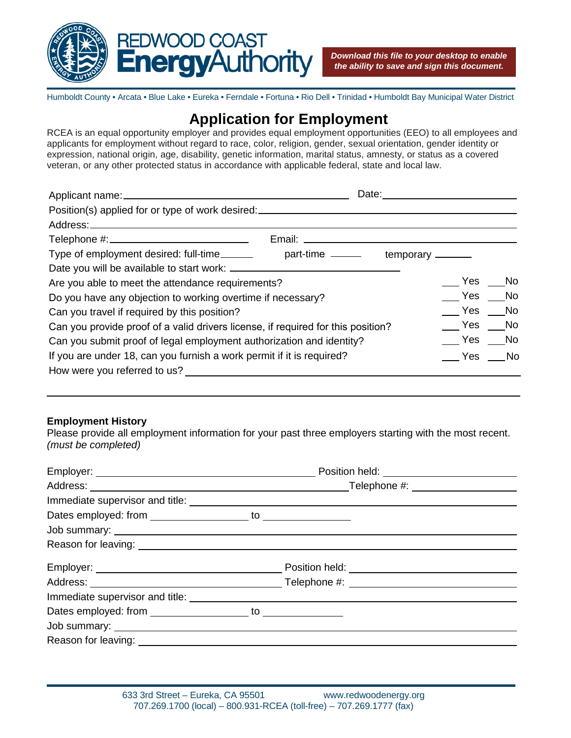

Humboldt County • Arcata • Blue Lake • Eureka • Ferndale • Fortuna • Rio Dell • Trinidad • Humboldt Bay Municipal Water District

# **Application for Employment**

RCEA is an equal opportunity employer and provides equal employment opportunities (EEO) to all employees and applicants for employment without regard to race, color, religion, gender, sexual orientation, gender identity or expression, national origin, age, disability, genetic information, marital status, amnesty, or status as a covered veteran, or any other protected status in accordance with applicable federal, state and local law.

| Date:                                                                              |        |          |
|------------------------------------------------------------------------------------|--------|----------|
| Position(s) applied for or type of work desired:________________________________   |        |          |
|                                                                                    |        |          |
|                                                                                    |        |          |
| Type of employment desired: full-time _________ part-time _______ temporary ______ |        |          |
|                                                                                    |        |          |
| Are you able to meet the attendance requirements?                                  |        | Yes No   |
| Do you have any objection to working overtime if necessary?                        |        | Yes No   |
| Can you travel if required by this position?                                       |        | Yes No   |
| Can you provide proof of a valid drivers license, if required for this position?   | Yes No |          |
| Can you submit proof of legal employment authorization and identity?               |        |          |
| If you are under 18, can you furnish a work permit if it is required?              |        | $Yes$ No |
| How were you referred to us?                                                       |        |          |
|                                                                                    |        |          |

## **Employment History**

Please provide all employment information for your past three employers starting with the most recent. *(must be completed)*